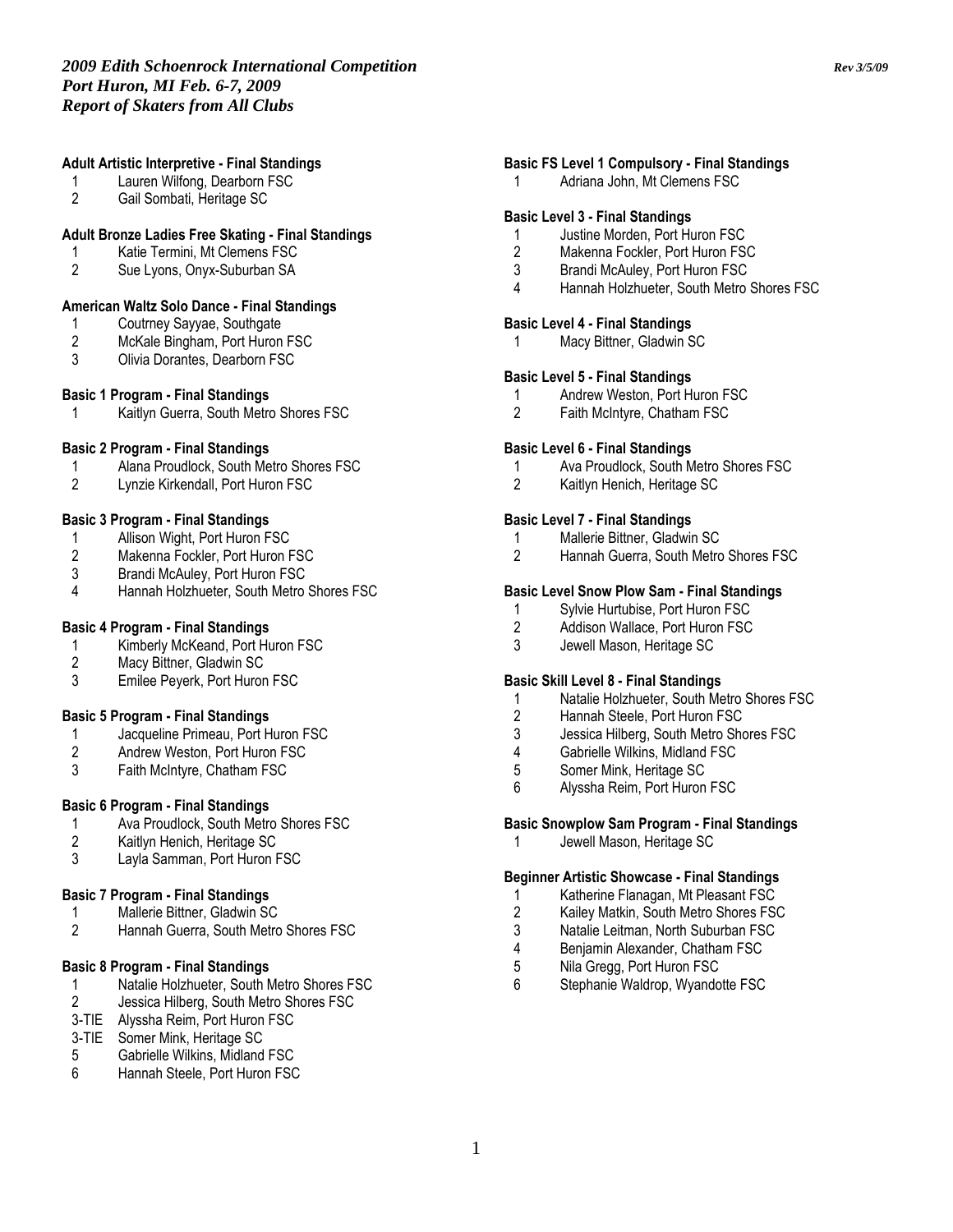## Adult Artistic Interpretive - Final Standings

- 1 Lauren Wilfong, Dearborn FSC<br>2 Gail Sombati. Heritage SC
- 2 Gail Sombati, Heritage SC

# Adult Bronze Ladies Free Skating - Final Standings

- 1 Katie Termini, Mt Clemens FSC<br>2 Sue Lvons. Onvx-Suburban SA
- Sue Lyons, Onyx-Suburban SA

#### American Waltz Solo Dance - Final Standings

- 1 Coutrney Sayyae, Southgate<br>2 McKale Bingham, Port Huron
- 2 McKale Bingham, Port Huron FSC<br>3 Olivia Dorantes. Dearborn FSC
- Olivia Dorantes, Dearborn FSC

#### Basic 1 Program - Final Standings

1 Kaitlyn Guerra, South Metro Shores FSC

#### Basic 2 Program - Final Standings

- 1 Alana Proudlock, South Metro Shores FSC<br>2 Lynzie Kirkendall. Port Huron FSC
- Lynzie Kirkendall, Port Huron FSC

# Basic 3 Program - Final Standings

- 1 Allison Wight, Port Huron FSC<br>2 Makenna Fockler, Port Huron F
- 2 Makenna Fockler, Port Huron FSC<br>3 Brandi McAuley, Port Huron FSC
- 3 Brandi McAuley, Port Huron FSC<br>4 Hannah Holzhueter. South Metro
- 4 Hannah Holzhueter, South Metro Shores FSC

# Basic 4 Program - Final Standings

- 1 Kimberly McKeand, Port Huron FSC<br>2 Macy Bittner. Gladwin SC
- 2 Macy Bittner, Gladwin SC<br>3 Emilee Peverk, Port Huron
- Emilee Peyerk, Port Huron FSC

# Basic 5 Program - Final Standings

- 1 Jacqueline Primeau, Port Huron FSC<br>2 Andrew Weston. Port Huron FSC
- 2 Andrew Weston, Port Huron FSC<br>3 Faith McIntyre, Chatham FSC
- Faith McIntyre, Chatham FSC

# Basic 6 Program - Final Standings

- 1 Ava Proudlock, South Metro Shores FSC<br>2 Kaitlyn Henich. Heritage SC
- 2 Kaitlyn Henich, Heritage SC
- 3 Layla Samman, Port Huron FSC

#### Basic 7 Program - Final Standings

- 1 Mallerie Bittner, Gladwin SC<br>2 Hannah Guerra. South Metro
- Hannah Guerra, South Metro Shores FSC

# Basic 8 Program - Final Standings

- 1 Natalie Holzhueter, South Metro Shores FSC<br>2 Jessica Hilberg, South Metro Shores FSC
- 2 Jessica Hilberg, South Metro Shores FSC
- 3-TIE Alyssha Reim, Port Huron FSC
- 3-TIE Somer Mink, Heritage SC
- 5 Gabrielle Wilkins, Midland FSC
- 6 Hannah Steele, Port Huron FSC

# Basic FS Level 1 Compulsory - Final Standings

1 Adriana John, Mt Clemens FSC

#### Basic Level 3 - Final Standings

- 1 Justine Morden, Port Huron FSC
- 2 Makenna Fockler, Port Huron FSC
- 3 Brandi McAuley, Port Huron FSC
- 4 Hannah Holzhueter, South Metro Shores FSC

#### Basic Level 4 - Final Standings

Macy Bittner, Gladwin SC

#### Basic Level 5 - Final Standings

- 1 Andrew Weston, Port Huron FSC<br>2 Faith McIntyre, Chatham FSC
- Faith McIntyre, Chatham FSC

#### Basic Level 6 - Final Standings

- 1 Ava Proudlock, South Metro Shores FSC
- 2 Kaitlyn Henich, Heritage SC

#### Basic Level 7 - Final Standings

- 1 Mallerie Bittner, Gladwin SC
- 2 Hannah Guerra, South Metro Shores FSC

#### Basic Level Snow Plow Sam - Final Standings

- 1 Sylvie Hurtubise, Port Huron FSC<br>2 Addison Wallace. Port Huron FSC
- Addison Wallace, Port Huron FSC
- 3 Jewell Mason, Heritage SC

#### Basic Skill Level 8 - Final Standings

- 1 Natalie Holzhueter, South Metro Shores FSC
- 2 Hannah Steele, Port Huron FSC
- 3 Jessica Hilberg, South Metro Shores FSC<br>4 Gabrielle Wilkins Midland FSC
- 4 Gabrielle Wilkins, Midland FSC<br>5 Somer Mink, Heritage SC
- 5 Somer Mink, Heritage SC
- 6 Alyssha Reim, Port Huron FSC

# Basic Snowplow Sam Program - Final Standings

1 Jewell Mason, Heritage SC

#### Beginner Artistic Showcase - Final Standings

- 1 Katherine Flanagan, Mt Pleasant FSC
- 
- 2 Kailey Matkin, South Metro Shores FSC<br>3 Natalie Leitman, North Suburban FSC
- 3 Natalie Leitman, North Suburban FSC<br>4 Beniamin Alexander, Chatham FSC 4 Benjamin Alexander, Chatham FSC<br>5 Nila Gregg, Port Huron FSC
- 5 Nila Gregg, Port Huron FSC<br>6 Stephanie Waldrop, Wyando
- Stephanie Waldrop, Wyandotte FSC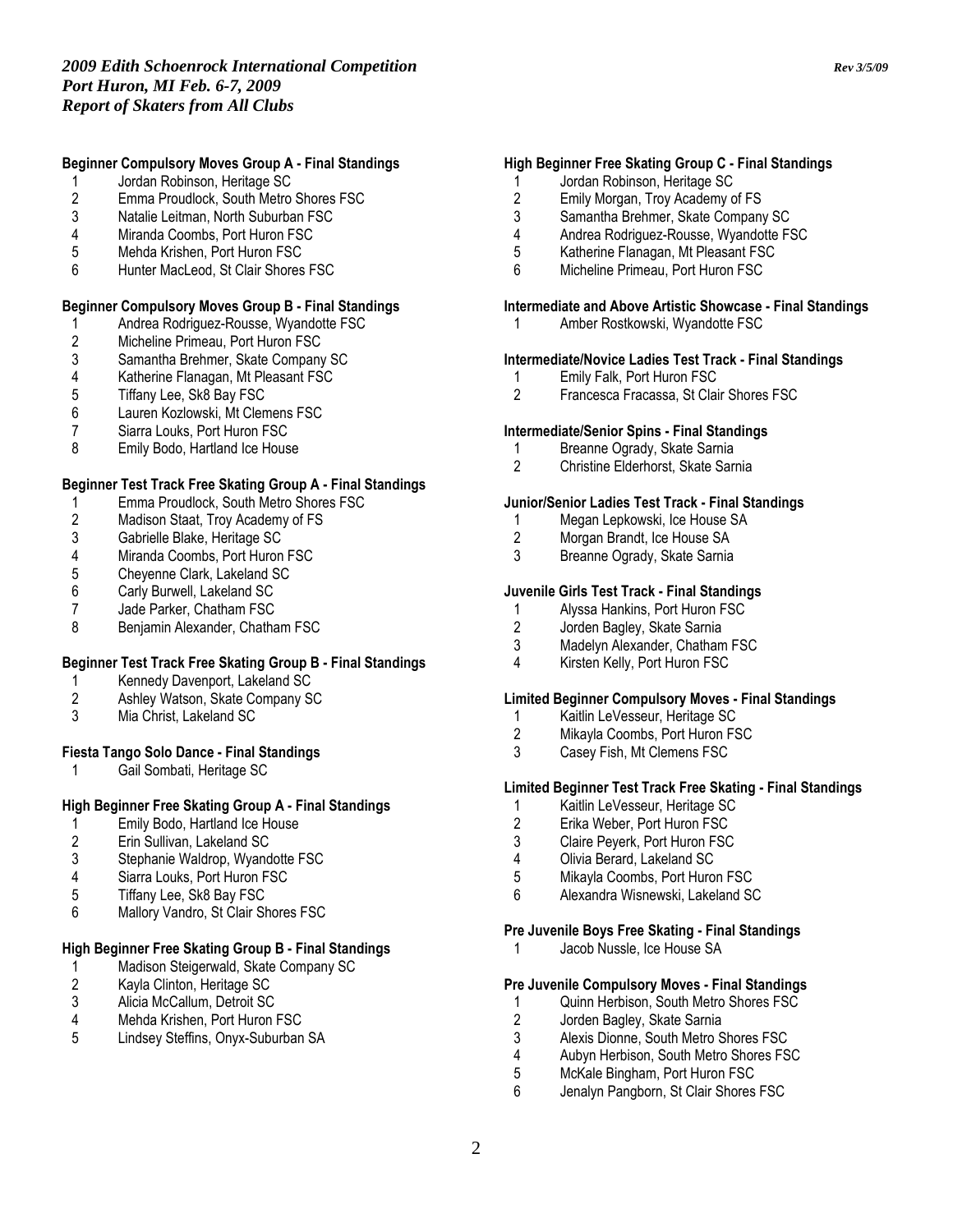# Beginner Compulsory Moves Group A - Final Standings

- 1 Jordan Robinson, Heritage SC<br>2 Emma Proudlock, South Metro
- 2 Emma Proudlock, South Metro Shores FSC
- Natalie Leitman, North Suburban FSC
- 4 Miranda Coombs, Port Huron FSC
- 5 Mehda Krishen, Port Huron FSC
- 6 Hunter MacLeod, St Clair Shores FSC

# Beginner Compulsory Moves Group B - Final Standings

- 1 Andrea Rodriguez-Rousse, Wyandotte FSC<br>2 Micheline Primeau, Port Huron FSC
- 2 Micheline Primeau, Port Huron FSC<br>3 Samantha Brehmer, Skate Company
- 3 Samantha Brehmer, Skate Company SC<br>4 Katherine Flanagan, Mt Pleasant FSC
- 4 Katherine Flanagan, Mt Pleasant FSC<br>5 Tiffany Lee, Sk8 Bay FSC
- 5 Tiffany Lee, Sk8 Bay FSC<br>6 Lauren Kozlowski, Mt Clen
- 6 Lauren Kozlowski, Mt Clemens FSC
- Siarra Louks, Port Huron FSC
- 8 Emily Bodo, Hartland Ice House

#### Beginner Test Track Free Skating Group A - Final Standings

- 1 Emma Proudlock, South Metro Shores FSC<br>2 Madison Staat, Troy Academy of FS
- 2 Madison Staat, Troy Academy of FS<br>3 Gabrielle Blake, Heritage SC
- 3 Gabrielle Blake, Heritage SC<br>4 Miranda Coombs, Port Huron
- 4 Miranda Coombs, Port Huron FSC<br>5 Chevenne Clark, Lakeland SC
- 5 Cheyenne Clark, Lakeland SC<br>6 Carly Burwell, Lakeland SC
- 6 Carly Burwell, Lakeland SC
- 7 Jade Parker, Chatham FSC<br>8 Beniamin Alexander, Chatha
- 8 Benjamin Alexander, Chatham FSC

# Beginner Test Track Free Skating Group B - Final Standings

- 1 Kennedy Davenport, Lakeland SC<br>2 Ashley Watson, Skate Company SO
- Ashley Watson, Skate Company SC
- 3 Mia Christ, Lakeland SC

#### Fiesta Tango Solo Dance - Final Standings

Gail Sombati, Heritage SC

# High Beginner Free Skating Group A - Final Standings

- 1 Emily Bodo, Hartland Ice House<br>2 Erin Sullivan, Lakeland SC
- 2 Erin Sullivan, Lakeland SC
- 3 Stephanie Waldrop, Wyandotte FSC<br>4 Siarra Louks. Port Huron FSC
- 4 Siarra Louks, Port Huron FSC<br>5 Tiffany Lee, Sk8 Bay FSC
- 5 Tiffany Lee, Sk8 Bay FSC
- 6 Mallory Vandro, St Clair Shores FSC

# High Beginner Free Skating Group B - Final Standings

- 1 Madison Steigerwald, Skate Company SC<br>2 Kayla Clinton, Heritage SC
- 2 Kayla Clinton, Heritage SC<br>3 Alicia McCallum, Detroit SC
- 3 Alicia McCallum, Detroit SC<br>4 Mehda Krishen. Port Huron
- 4 Mehda Krishen, Port Huron FSC<br>5 Lindsev Steffins, Onvx-Suburban
- 5 Lindsey Steffins, Onyx-Suburban SA

# High Beginner Free Skating Group C - Final Standings

- 1 Jordan Robinson, Heritage SC<br>2 Emily Morgan, Trov Academy o
- 2 Emily Morgan, Troy Academy of FS<br>3 Samantha Brehmer. Skate Compan
- Samantha Brehmer, Skate Company SC
- 4 Andrea Rodriguez-Rousse, Wyandotte FSC
- 5 Katherine Flanagan, Mt Pleasant FSC
- 6 Micheline Primeau, Port Huron FSC

# Intermediate and Above Artistic Showcase - Final Standings

1 Amber Rostkowski, Wyandotte FSC

# Intermediate/Novice Ladies Test Track - Final Standings

- 1 Emily Falk, Port Huron FSC<br>2 Francesca Fracassa. St Clai
- 2 Francesca Fracassa, St Clair Shores FSC

# Intermediate/Senior Spins - Final Standings

- 1 Breanne Ogrady, Skate Sarnia<br>2 Christine Elderhorst, Skate Sari
- 2 Christine Elderhorst, Skate Sarnia

# Junior/Senior Ladies Test Track - Final Standings

- 1 Megan Lepkowski, Ice House SA<br>2 Morgan Brandt. Ice House SA
- 2 Morgan Brandt, Ice House SA<br>3 Breanne Ogrady, Skate Sarnia
- Breanne Ogrady, Skate Sarnia

# Juvenile Girls Test Track - Final Standings

- 1 Alyssa Hankins, Port Huron FSC<br>2 Jorden Baglev. Skate Sarnia
- Jorden Bagley, Skate Sarnia
- 3 Madelyn Alexander, Chatham FSC
- 4 Kirsten Kelly, Port Huron FSC

# Limited Beginner Compulsory Moves - Final Standings

- 1 Kaitlin LeVesseur, Heritage SC<br>2 Mikavla Coombs. Port Huron FS
- 2 Mikayla Coombs, Port Huron FSC<br>3 Casev Fish. Mt Clemens FSC
- Casey Fish, Mt Clemens FSC

# Limited Beginner Test Track Free Skating - Final Standings

- 1 Kaitlin LeVesseur, Heritage SC<br>2 Erika Weber, Port Huron FSC
- 2 Erika Weber, Port Huron FSC
- 3 Claire Peyerk, Port Huron FSC
- 4 Olivia Berard, Lakeland SC<br>5 Mikavla Coombs. Port Huro
- Mikayla Coombs, Port Huron FSC
- 6 Alexandra Wisnewski, Lakeland SC

# Pre Juvenile Boys Free Skating - Final Standings

1 Jacob Nussle, Ice House SA

# Pre Juvenile Compulsory Moves - Final Standings

- 1 Quinn Herbison, South Metro Shores FSC<br>2 Jorden Bagley, Skate Sarnia
- 2 Jorden Bagley, Skate Sarnia<br>3 Alexis Dionne. South Metro S
- 3 Alexis Dionne, South Metro Shores FSC<br>4 Aubyn Herbison, South Metro Shores FS
- 4 Aubyn Herbison, South Metro Shores FSC<br>5 McKale Bingham. Port Huron FSC
- 5 McKale Bingham, Port Huron FSC<br>6 Jenalyn Pangborn, St Clair Shores
- Jenalyn Pangborn, St Clair Shores FSC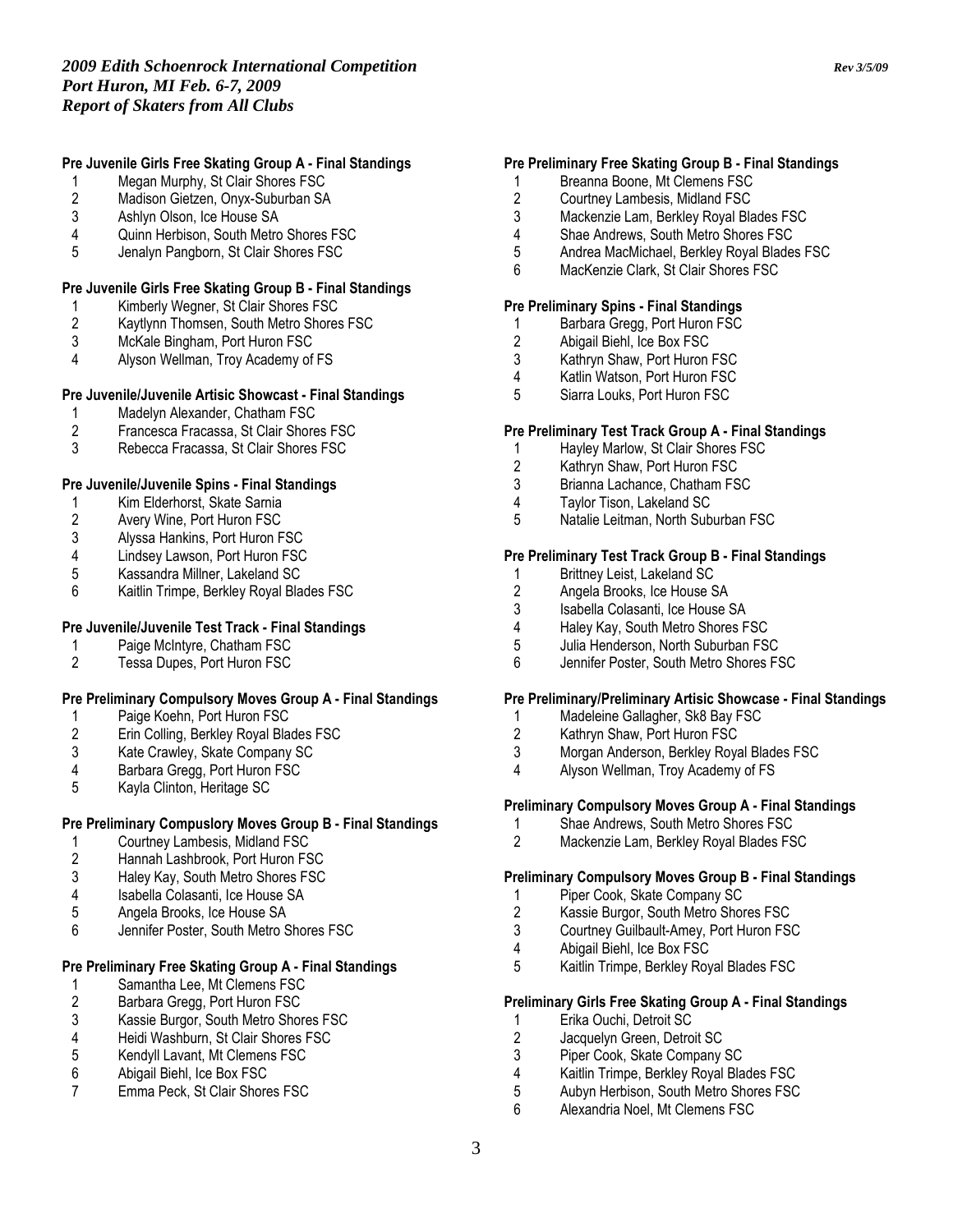# Pre Juvenile Girls Free Skating Group A - Final Standings

- 1 Megan Murphy, St Clair Shores FSC<br>2 Madison Gietzen, Onyx-Suburban SA
- 2 Madison Gietzen, Onyx-Suburban SA<br>3 Ashlvn Olson, Ice House SA
- 3 Ashlyn Olson, Ice House SA<br>4 Ouinn Herbison, South Metro
- Quinn Herbison, South Metro Shores FSC
- 5 Jenalyn Pangborn, St Clair Shores FSC

# Pre Juvenile Girls Free Skating Group B - Final Standings

- 1 Kimberly Wegner, St Clair Shores FSC<br>2 Kaytlynn Thomsen, South Metro Shores
- 2 Kaytlynn Thomsen, South Metro Shores FSC<br>3 McKale Bingham. Port Huron FSC
- 3 McKale Bingham, Port Huron FSC<br>4 Alvson Wellman. Trov Academy of
- Alyson Wellman, Troy Academy of FS

# Pre Juvenile/Juvenile Artisic Showcast - Final Standings

- 1 Madelyn Alexander, Chatham FSC<br>2 Francesca Fracassa. St Clair Shore
- 2 Francesca Fracassa, St Clair Shores FSC
- 3 Rebecca Fracassa, St Clair Shores FSC

# Pre Juvenile/Juvenile Spins - Final Standings

- 1 Kim Elderhorst, Skate Sarnia<br>2 Avery Wine, Port Huron FSC
- 2 Avery Wine, Port Huron FSC<br>3 Alyssa Hankins, Port Huron F
- 3 Alyssa Hankins, Port Huron FSC
- 4 Lindsey Lawson, Port Huron FSC<br>5 Kassandra Millner, Lakeland SC
- 5 Kassandra Millner, Lakeland SC
- 6 Kaitlin Trimpe, Berkley Royal Blades FSC

# Pre Juvenile/Juvenile Test Track - Final Standings

- 1 Paige McIntyre, Chatham FSC<br>2 Tessa Dupes. Port Huron FSC
- Tessa Dupes, Port Huron FSC

#### Pre Preliminary Compulsory Moves Group A - Final Standings

- 1 Paige Koehn, Port Huron FSC<br>2 Erin Colling, Berkley Royal Bla
- 2 Erin Colling, Berkley Royal Blades FSC<br>3 Kate Crawley, Skate Company SC
- 3 Kate Crawley, Skate Company SC<br>4 Barbara Gregg, Port Huron FSC
- 4 Barbara Gregg, Port Huron FSC<br>5 Kavla Clinton. Heritage SC
- 5 Kayla Clinton, Heritage SC

# Pre Preliminary Compuslory Moves Group B - Final Standings

- 1 Courtney Lambesis, Midland FSC<br>2 Hannah Lashbrook, Port Huron FS
- 2 Hannah Lashbrook, Port Huron FSC
- 3 Haley Kay, South Metro Shores FSC<br>4 Isabella Colasanti, Ice House SA
- 4 Isabella Colasanti, Ice House SA
- 
- 5 Angela Brooks, Ice House SA<br>6 **Bennifer Poster South Metro S** Jennifer Poster, South Metro Shores FSC

# Pre Preliminary Free Skating Group A - Final Standings

- 
- 1 Samantha Lee, Mt Clemens FSC<br>2 Barbara Gregg, Port Huron FSC
- 2 Barbara Gregg, Port Huron FSC<br>3 Kassie Burgor. South Metro Shor
- 3 Kassie Burgor, South Metro Shores FSC
- 4 Heidi Washburn, St Clair Shores FSC<br>5 Kendvll Lavant. Mt Clemens FSC
- 5 Kendyll Lavant, Mt Clemens FSC<br>6 Abigail Biehl. Ice Box FSC
- 6 Abigail Biehl, Ice Box FSC<br>7 Emma Peck, St Clair Shore Emma Peck, St Clair Shores FSC

# Pre Preliminary Free Skating Group B - Final Standings

- 1 Breanna Boone, Mt Clemens FSC<br>2 Courtney Lambesis, Midland FSC
- 2 Courtney Lambesis, Midland FSC<br>3 Mackenzie Lam. Berkley Royal Bla
- Mackenzie Lam, Berkley Royal Blades FSC
- 4 Shae Andrews, South Metro Shores FSC
- 5 Andrea MacMichael, Berkley Royal Blades FSC
- 6 MacKenzie Clark, St Clair Shores FSC

# Pre Preliminary Spins - Final Standings

- 1 Barbara Gregg, Port Huron FSC<br>2 Abigail Biehl. Ice Box FSC
- 2 Abigail Biehl, Ice Box FSC<br>3 Kathrvn Shaw, Port Huron
- Kathryn Shaw, Port Huron FSC
- 4 Katlin Watson, Port Huron FSC
- 5 Siarra Louks, Port Huron FSC

#### Pre Preliminary Test Track Group A - Final Standings

- 1 Hayley Marlow, St Clair Shores FSC<br>2 Kathryn Shaw, Port Huron FSC
- 2 Kathryn Shaw, Port Huron FSC<br>3 Brianna Lachance, Chatham FS
- Brianna Lachance, Chatham FSC
- 4 Taylor Tison, Lakeland SC<br>5 Natalie Leitman North Sub
- 5 Natalie Leitman, North Suburban FSC

## Pre Preliminary Test Track Group B - Final Standings

- 1 Brittney Leist, Lakeland SC<br>2 Angela Brooks, Ice House S
- 2 Angela Brooks, Ice House SA<br>3 Isabella Colasanti. Ice House
- 3 Isabella Colasanti, Ice House SA<br>4 Haley Kay, South Metro Shores F
- 4 Haley Kay, South Metro Shores FSC<br>5 Julia Henderson, North Suburban FS
- 5 Julia Henderson, North Suburban FSC
- 6 Jennifer Poster, South Metro Shores FSC

#### Pre Preliminary/Preliminary Artisic Showcase - Final Standings

- 1 Madeleine Gallagher, Sk8 Bay FSC<br>2 Kathrvn Shaw. Port Huron FSC
- 2 Kathryn Shaw, Port Huron FSC<br>3 Morgan Anderson, Berklev Rova
- 3 Morgan Anderson, Berkley Royal Blades FSC
- Alyson Wellman, Troy Academy of FS

#### Preliminary Compulsory Moves Group A - Final Standings

- 1 Shae Andrews, South Metro Shores FSC<br>2 Mackenzie Lam. Berklev Roval Blades FS
- Mackenzie Lam, Berkley Royal Blades FSC

# Preliminary Compulsory Moves Group B - Final Standings

- 1 Piper Cook, Skate Company SC
- 2 Kassie Burgor, South Metro Shores FSC
- 3 Courtney Guilbault-Amey, Port Huron FSC<br>4 Abigail Biehl. Ice Box FSC
- 4 Abigail Biehl, Ice Box FSC<br>5 Kaitlin Trimpe, Berkley Roy
- 5 Kaitlin Trimpe, Berkley Royal Blades FSC

#### Preliminary Girls Free Skating Group A - Final Standings

- 1 Erika Ouchi, Detroit SC<br>2 Jacquelyn Green. Detro
- 2 Jacquelyn Green, Detroit SC<br>3 Piper Cook, Skate Company
- 3 Piper Cook, Skate Company SC<br>4 Kaitlin Trimpe, Berkley Royal Bla
- 4 Kaitlin Trimpe, Berkley Royal Blades FSC<br>5 Aubyn Herbison. South Metro Shores FSC
- 5 Aubyn Herbison, South Metro Shores FSC<br>6 Alexandria Noel Mt Clemens FSC
- 6 Alexandria Noel, Mt Clemens FSC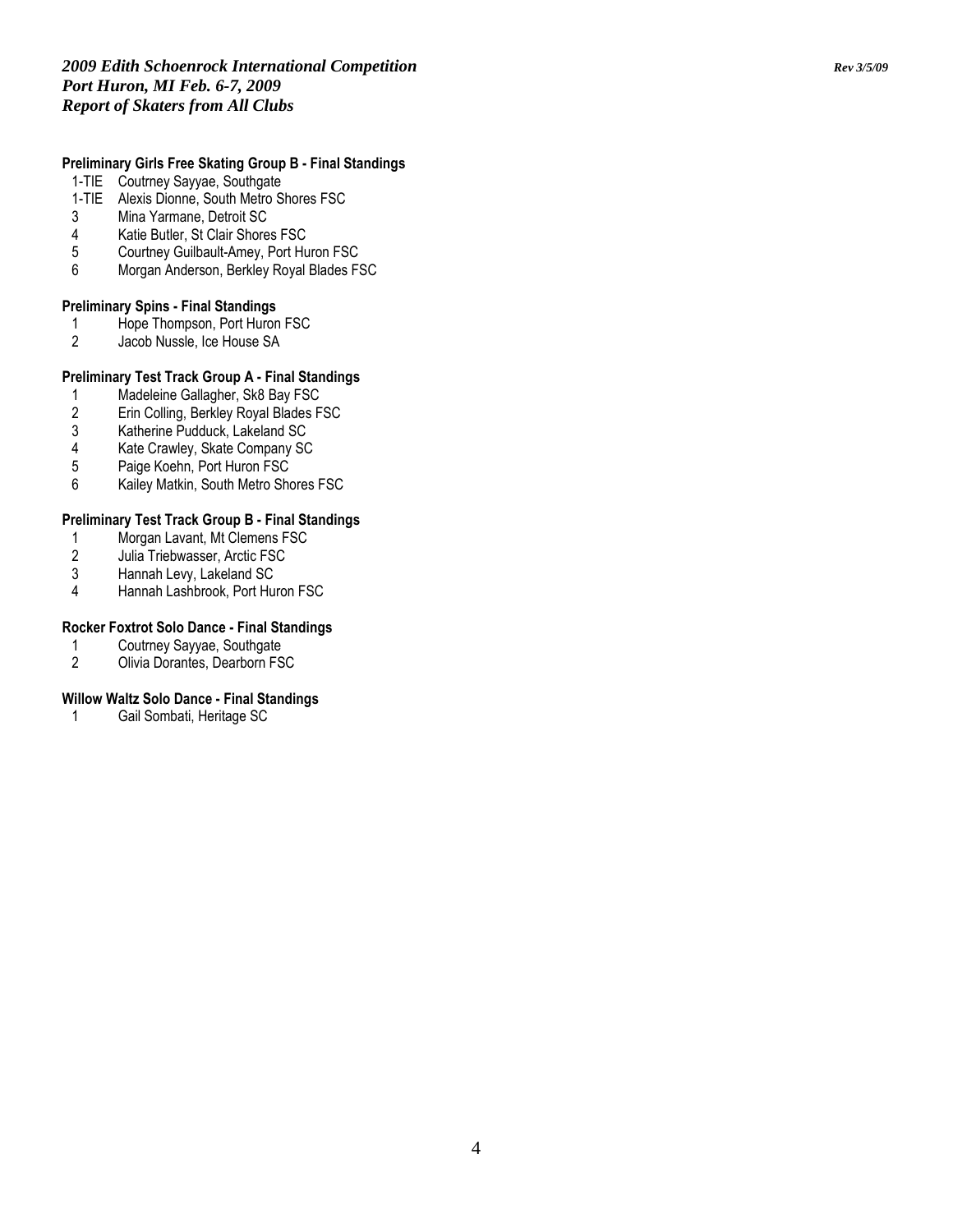# Preliminary Girls Free Skating Group B - Final Standings

- 1-TIE Coutrney Sayyae, Southgate
- 1-TIE Alexis Dionne, South Metro Shores FSC<br>3 Mina Yarmane. Detroit SC
- 3 Mina Yarmane, Detroit SC
- 4 Katie Butler, St Clair Shores FSC<br>5 Courtney Guilbault-Amey, Port Hu
- 5 Courtney Guilbault-Amey, Port Huron FSC
- 6 Morgan Anderson, Berkley Royal Blades FSC

#### Preliminary Spins - Final Standings

- 1 Hope Thompson, Port Huron FSC<br>2 Jacob Nussle, Ice House SA
- Jacob Nussle, Ice House SA

# Preliminary Test Track Group A - Final Standings

- 1 Madeleine Gallagher, Sk8 Bay FSC<br>2 Erin Colling, Berkley Royal Blades F
- 2 Erin Colling, Berkley Royal Blades FSC<br>3 Katherine Pudduck, Lakeland SC
- 3 Katherine Pudduck, Lakeland SC<br>4 Kate Crawley, Skate Company SC
- 4 Kate Crawley, Skate Company SC<br>5 Paige Koehn, Port Huron FSC
- Paige Koehn, Port Huron FSC
- 6 Kailey Matkin, South Metro Shores FSC

# Preliminary Test Track Group B - Final Standings

- 1 Morgan Lavant, Mt Clemens FSC<br>2 Julia Triebwasser, Arctic FSC
- 2 Julia Triebwasser, Arctic FSC<br>3 Hannah Levy, Lakeland SC
- 3 Hannah Levy, Lakeland SC
- 4 Hannah Lashbrook, Port Huron FSC

# Rocker Foxtrot Solo Dance - Final Standings

- 1 Coutrney Sayyae, Southgate<br>2 Olivia Dorantes. Dearborn FS
- 2 Olivia Dorantes, Dearborn FSC

#### Willow Waltz Solo Dance - Final Standings

1 Gail Sombati, Heritage SC